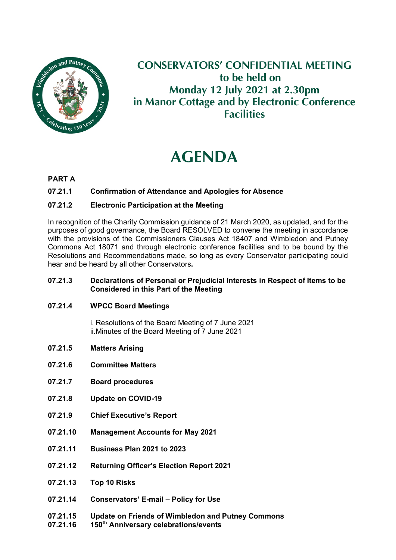

# **CONSERVATORS' CONFIDENTIAL MEETING to be held on Monday 12 July 2021 at 2.30pm in Manor Cottage and by Electronic Conference Facilities**

# **AGENDA**

### **PART A**

#### **07.21.1 Confirmation of Attendance and Apologies for Absence**

#### **07.21.2 Electronic Participation at the Meeting**

In recognition of the Charity Commission guidance of 21 March 2020, as updated, and for the purposes of good governance, the Board RESOLVED to convene the meeting in accordance with the provisions of the Commissioners Clauses Act 18407 and Wimbledon and Putney Commons Act 18071 and through electronic conference facilities and to be bound by the Resolutions and Recommendations made, so long as every Conservator participating could hear and be heard by all other Conservators**.**

#### **07.21.3 Declarations of Personal or Prejudicial Interests in Respect of Items to be Considered in this Part of the Meeting**

#### **07.21.4 WPCC Board Meetings**

i. Resolutions of the Board Meeting of 7 June 2021 ii.Minutes of the Board Meeting of 7 June 2021

- **07.21.5 Matters Arising**
- **07.21.6 Committee Matters**
- **07.21.7 Board procedures**
- **07.21.8 Update on COVID-19**
- **07.21.9 Chief Executive's Report**
- **07.21.10 Management Accounts for May 2021**
- **07.21.11 Business Plan 2021 to 2023**
- **07.21.12 Returning Officer's Election Report 2021**
- **07.21.13 Top 10 Risks**
- **07.21.14 Conservators' E-mail – Policy for Use**
- **07.21.15 Update on Friends of Wimbledon and Putney Commons**
- **07.21.16 150th Anniversary celebrations/events**